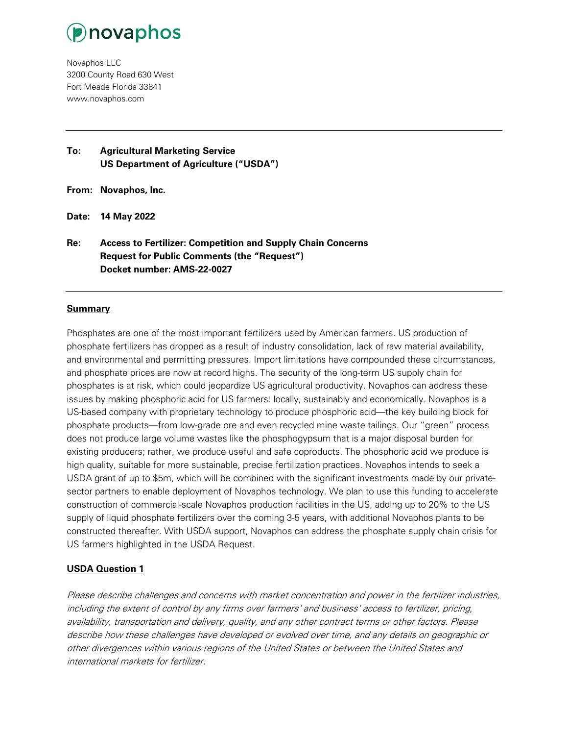

Novaphos LLC 3200 County Road 630 West Fort Meade Florida 33841 www.novaphos.com

**To: Agricultural Marketing Service US Department of Agriculture ("USDA")**

**From: Novaphos, Inc.**

**Date: 14 May 2022**

**Re: Access to Fertilizer: Competition and Supply Chain Concerns Request for Public Comments (the "Request") Docket number: AMS-22-0027**

#### **Summary**

Phosphates are one of the most important fertilizers used by American farmers. US production of phosphate fertilizers has dropped as a result of industry consolidation, lack of raw material availability, and environmental and permitting pressures. Import limitations have compounded these circumstances, and phosphate prices are now at record highs. The security of the long-term US supply chain for phosphates is at risk, which could jeopardize US agricultural productivity. Novaphos can address these issues by making phosphoric acid for US farmers: locally, sustainably and economically. Novaphos is a US-based company with proprietary technology to produce phosphoric acid—the key building block for phosphate products—from low-grade ore and even recycled mine waste tailings. Our "green" process does not produce large volume wastes like the phosphogypsum that is a major disposal burden for existing producers; rather, we produce useful and safe coproducts. The phosphoric acid we produce is high quality, suitable for more sustainable, precise fertilization practices. Novaphos intends to seek a USDA grant of up to \$5m, which will be combined with the significant investments made by our privatesector partners to enable deployment of Novaphos technology. We plan to use this funding to accelerate construction of commercial-scale Novaphos production facilities in the US, adding up to 20% to the US supply of liquid phosphate fertilizers over the coming 3-5 years, with additional Novaphos plants to be constructed thereafter. With USDA support, Novaphos can address the phosphate supply chain crisis for US farmers highlighted in the USDA Request.

#### **USDA Question 1**

Please describe challenges and concerns with market concentration and power in the fertilizer industries, including the extent of control by any firms over farmers' and business' access to fertilizer, pricing, availability, transportation and delivery, quality, and any other contract terms or other factors. Please describe how these challenges have developed or evolved over time, and any details on geographic or other divergences within various regions of the United States or between the United States and international markets for fertilizer.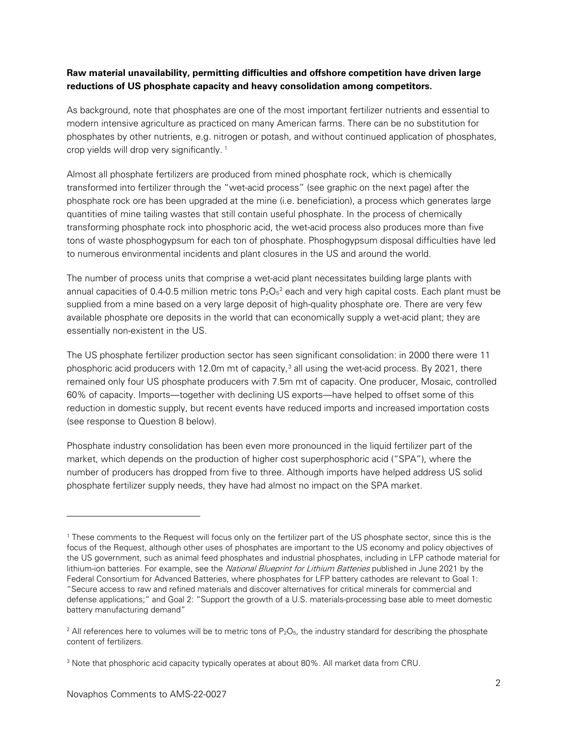# **Raw material unavailability, permitting difficulties and offshore competition have driven large reductions of US phosphate capacity and heavy consolidation among competitors.**

As background, note that phosphates are one of the most important fertilizer nutrients and essential to modern intensive agriculture as practiced on many American farms. There can be no substitution for phosphates by other nutrients, e.g. nitrogen or potash, and without continued application of phosphates, crop yields will drop very significantly.<sup>[1](#page-1-0)</sup>

Almost all phosphate fertilizers are produced from mined phosphate rock, which is chemically transformed into fertilizer through the "wet-acid process" (see graphic on the next page) after the phosphate rock ore has been upgraded at the mine (i.e. beneficiation), a process which generates large quantities of mine tailing wastes that still contain useful phosphate. In the process of chemically transforming phosphate rock into phosphoric acid, the wet-acid process also produces more than five tons of waste phosphogypsum for each ton of phosphate. Phosphogypsum disposal difficulties have led to numerous environmental incidents and plant closures in the US and around the world.

The number of process units that comprise a wet-acid plant necessitates building large plants with annual capacities of 0.4-0.5 million metric tons  $P_2O_5{}^2$  $P_2O_5{}^2$  $P_2O_5{}^2$  each and very high capital costs. Each plant must be supplied from a mine based on a very large deposit of high-quality phosphate ore. There are very few available phosphate ore deposits in the world that can economically supply a wet-acid plant; they are essentially non-existent in the US.

The US phosphate fertilizer production sector has seen significant consolidation: in 2000 there were 11 phosphoric acid producers with 12.0m mt of capacity, $3$  all using the wet-acid process. By 2021, there remained only four US phosphate producers with 7.5m mt of capacity. One producer, Mosaic, controlled 60% of capacity. Imports—together with declining US exports—have helped to offset some of this reduction in domestic supply, but recent events have reduced imports and increased importation costs (see response to Question 8 below).

Phosphate industry consolidation has been even more pronounced in the liquid fertilizer part of the market, which depends on the production of higher cost superphosphoric acid ("SPA"), where the number of producers has dropped from five to three. Although imports have helped address US solid phosphate fertilizer supply needs, they have had almost no impact on the SPA market.

j

<span id="page-1-0"></span><sup>1</sup> These comments to the Request will focus only on the fertilizer part of the US phosphate sector, since this is the focus of the Request, although other uses of phosphates are important to the US economy and policy objectives of the US government, such as animal feed phosphates and industrial phosphates, including in LFP cathode material for lithium-ion batteries. For example, see the National Blueprint for Lithium Batteries published in June 2021 by the Federal Consortium for Advanced Batteries, where phosphates for LFP battery cathodes are relevant to Goal 1: "Secure access to raw and refined materials and discover alternatives for critical minerals for commercial and defense applications;" and Goal 2: "Support the growth of a U.S. materials-processing base able to meet domestic battery manufacturing demand"

<span id="page-1-1"></span> $2$  All references here to volumes will be to metric tons of  $P_2O_5$ , the industry standard for describing the phosphate content of fertilizers.

<span id="page-1-2"></span><sup>3</sup> Note that phosphoric acid capacity typically operates at about 80%. All market data from CRU.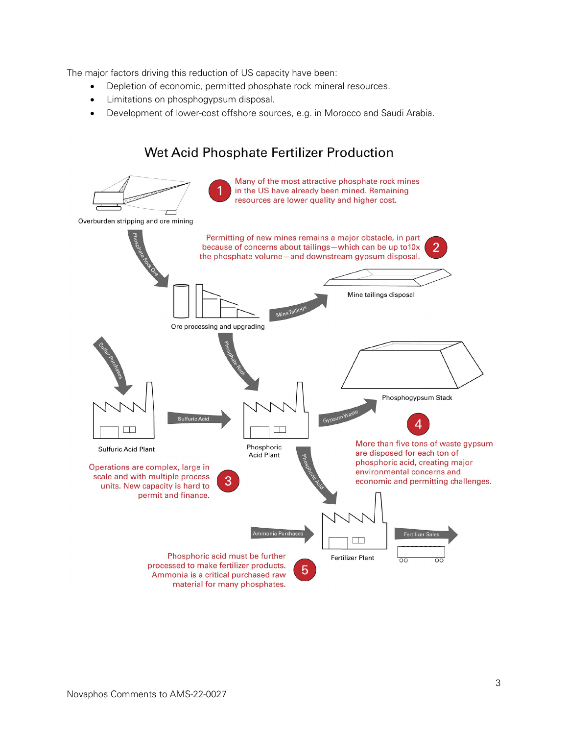The major factors driving this reduction of US capacity have been:

- Depletion of economic, permitted phosphate rock mineral resources.
- Limitations on phosphogypsum disposal.
- Development of lower-cost offshore sources, e.g. in Morocco and Saudi Arabia.

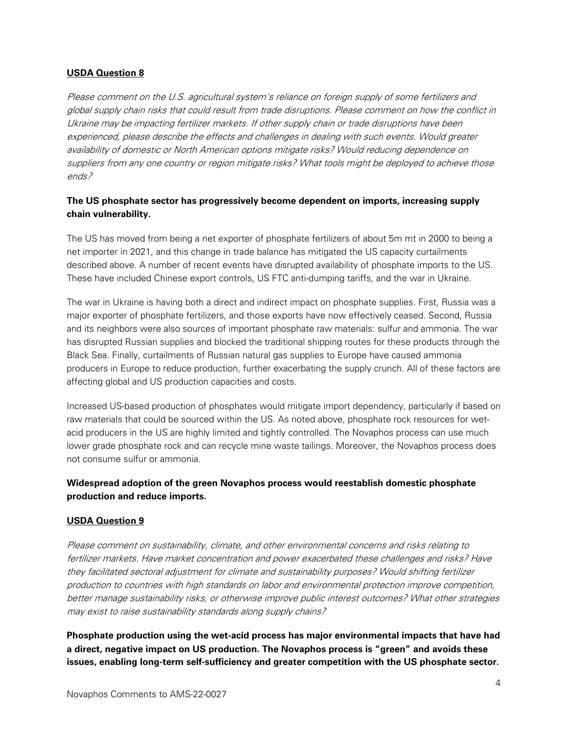#### **USDA Question 8**

Please comment on the U.S. agricultural system's reliance on foreign supply of some fertilizers and global supply chain risks that could result from trade disruptions. Please comment on how the conflict in Ukraine may be impacting fertilizer markets. If other supply chain or trade disruptions have been experienced, please describe the effects and challenges in dealing with such events. Would greater availability of domestic or North American options mitigate risks? Would reducing dependence on suppliers from any one country or region mitigate risks? What tools might be deployed to achieve those ends?

## **The US phosphate sector has progressively become dependent on imports, increasing supply chain vulnerability.**

The US has moved from being a net exporter of phosphate fertilizers of about 5m mt in 2000 to being a net importer in 2021, and this change in trade balance has mitigated the US capacity curtailments described above. A number of recent events have disrupted availability of phosphate imports to the US. These have included Chinese export controls, US FTC anti-dumping tariffs, and the war in Ukraine.

The war in Ukraine is having both a direct and indirect impact on phosphate supplies. First, Russia was a major exporter of phosphate fertilizers, and those exports have now effectively ceased. Second, Russia and its neighbors were also sources of important phosphate raw materials: sulfur and ammonia. The war has disrupted Russian supplies and blocked the traditional shipping routes for these products through the Black Sea. Finally, curtailments of Russian natural gas supplies to Europe have caused ammonia producers in Europe to reduce production, further exacerbating the supply crunch. All of these factors are affecting global and US production capacities and costs.

Increased US-based production of phosphates would mitigate import dependency, particularly if based on raw materials that could be sourced within the US. As noted above, phosphate rock resources for wetacid producers in the US are highly limited and tightly controlled. The Novaphos process can use much lower grade phosphate rock and can recycle mine waste tailings. Moreover, the Novaphos process does not consume sulfur or ammonia.

## **Widespread adoption of the green Novaphos process would reestablish domestic phosphate production and reduce imports.**

#### **USDA Question 9**

Please comment on sustainability, climate, and other environmental concerns and risks relating to fertilizer markets. Have market concentration and power exacerbated these challenges and risks? Have they facilitated sectoral adjustment for climate and sustainability purposes? Would shifting fertilizer production to countries with high standards on labor and environmental protection improve competition, better manage sustainability risks, or otherwise improve public interest outcomes? What other strategies may exist to raise sustainability standards along supply chains?

**Phosphate production using the wet-acid process has major environmental impacts that have had a direct, negative impact on US production. The Novaphos process is "green" and avoids these issues, enabling long-term self-sufficiency and greater competition with the US phosphate sector.**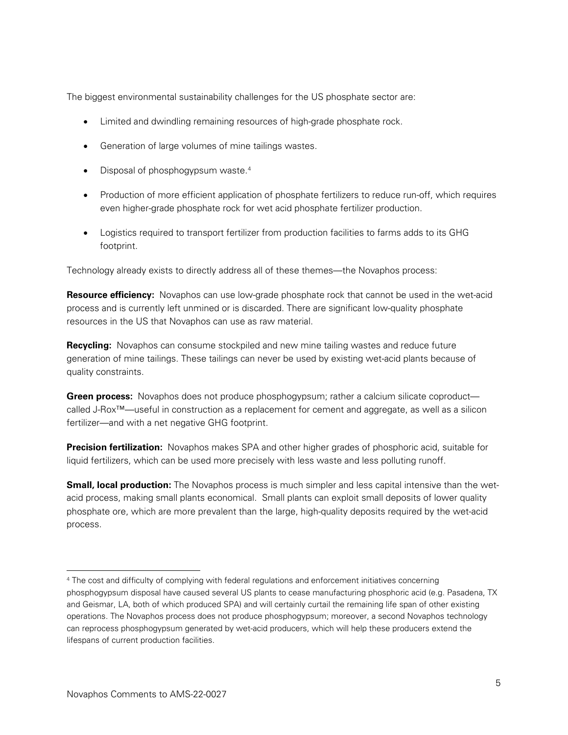The biggest environmental sustainability challenges for the US phosphate sector are:

- Limited and dwindling remaining resources of high-grade phosphate rock.
- Generation of large volumes of mine tailings wastes.
- Disposal of phosphogypsum waste.<sup>[4](#page-4-0)</sup>
- Production of more efficient application of phosphate fertilizers to reduce run-off, which requires even higher-grade phosphate rock for wet acid phosphate fertilizer production.
- Logistics required to transport fertilizer from production facilities to farms adds to its GHG footprint.

Technology already exists to directly address all of these themes—the Novaphos process:

**Resource efficiency:** Novaphos can use low-grade phosphate rock that cannot be used in the wet-acid process and is currently left unmined or is discarded. There are significant low-quality phosphate resources in the US that Novaphos can use as raw material.

**Recycling:** Novaphos can consume stockpiled and new mine tailing wastes and reduce future generation of mine tailings. These tailings can never be used by existing wet-acid plants because of quality constraints.

**Green process:** Novaphos does not produce phosphogypsum; rather a calcium silicate coproduct called J-Rox™—useful in construction as a replacement for cement and aggregate, as well as a silicon fertilizer—and with a net negative GHG footprint.

**Precision fertilization:** Novaphos makes SPA and other higher grades of phosphoric acid, suitable for liquid fertilizers, which can be used more precisely with less waste and less polluting runoff.

**Small, local production:** The Novaphos process is much simpler and less capital intensive than the wetacid process, making small plants economical. Small plants can exploit small deposits of lower quality phosphate ore, which are more prevalent than the large, high-quality deposits required by the wet-acid process.

-

<span id="page-4-0"></span><sup>4</sup> The cost and difficulty of complying with federal regulations and enforcement initiatives concerning phosphogypsum disposal have caused several US plants to cease manufacturing phosphoric acid (e.g. Pasadena, TX and Geismar, LA, both of which produced SPA) and will certainly curtail the remaining life span of other existing operations. The Novaphos process does not produce phosphogypsum; moreover, a second Novaphos technology can reprocess phosphogypsum generated by wet-acid producers, which will help these producers extend the lifespans of current production facilities.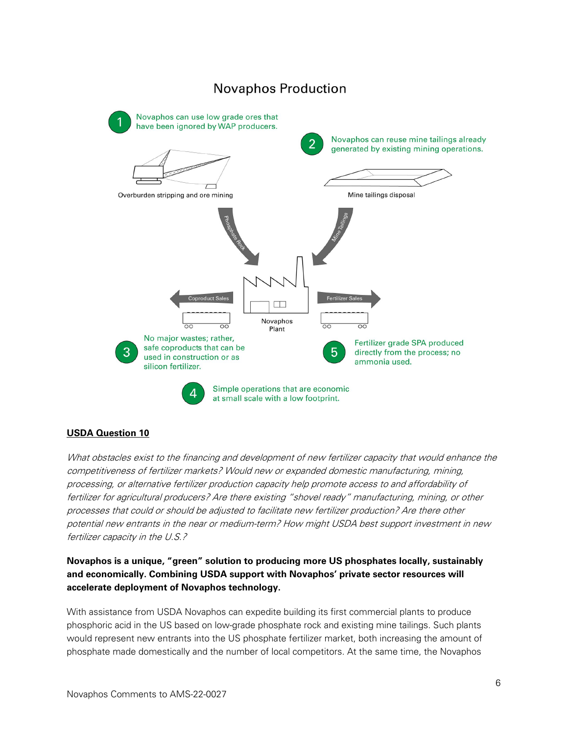

# **USDA Question 10**

What obstacles exist to the financing and development of new fertilizer capacity that would enhance the competitiveness of fertilizer markets? Would new or expanded domestic manufacturing, mining, processing, or alternative fertilizer production capacity help promote access to and affordability of fertilizer for agricultural producers? Are there existing "shovel ready" manufacturing, mining, or other processes that could or should be adjusted to facilitate new fertilizer production? Are there other potential new entrants in the near or medium-term? How might USDA best support investment in new fertilizer capacity in the U.S.?

**Novaphos is a unique, "green" solution to producing more US phosphates locally, sustainably and economically. Combining USDA support with Novaphos' private sector resources will accelerate deployment of Novaphos technology.** 

With assistance from USDA Novaphos can expedite building its first commercial plants to produce phosphoric acid in the US based on low-grade phosphate rock and existing mine tailings. Such plants would represent new entrants into the US phosphate fertilizer market, both increasing the amount of phosphate made domestically and the number of local competitors. At the same time, the Novaphos